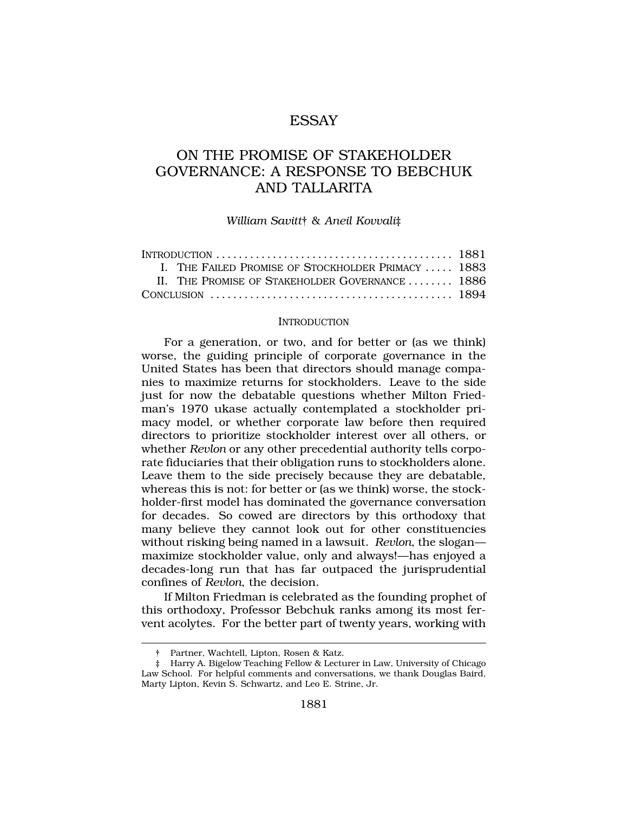# ESSAY

# ON THE PROMISE OF STAKEHOLDER GOVERNANCE: A RESPONSE TO BEBCHUK AND TALLARITA

### *William Savitt*† & *Aneil Kovvali*‡

| INTRODUCTION $\ldots \ldots \ldots \ldots \ldots \ldots \ldots \ldots \ldots \ldots \ldots \ldots \ldots$ |                                                    |  |
|-----------------------------------------------------------------------------------------------------------|----------------------------------------------------|--|
|                                                                                                           | I. THE FAILED PROMISE OF STOCKHOLDER PRIMACY  1883 |  |
|                                                                                                           | II. THE PROMISE OF STAKEHOLDER GOVERNANCE  1886    |  |
|                                                                                                           |                                                    |  |

#### INTRODUCTION

For a generation, or two, and for better or (as we think) worse, the guiding principle of corporate governance in the United States has been that directors should manage companies to maximize returns for stockholders. Leave to the side just for now the debatable questions whether Milton Friedman's 1970 ukase actually contemplated a stockholder primacy model, or whether corporate law before then required directors to prioritize stockholder interest over all others, or whether *Revlon* or any other precedential authority tells corporate fiduciaries that their obligation runs to stockholders alone. Leave them to the side precisely because they are debatable, whereas this is not: for better or (as we think) worse, the stockholder-first model has dominated the governance conversation for decades. So cowed are directors by this orthodoxy that many believe they cannot look out for other constituencies without risking being named in a lawsuit. *Revlon*, the slogan maximize stockholder value, only and always!—has enjoyed a decades-long run that has far outpaced the jurisprudential confines of *Revlon*, the decision.

If Milton Friedman is celebrated as the founding prophet of this orthodoxy, Professor Bebchuk ranks among its most fervent acolytes. For the better part of twenty years, working with

<sup>†</sup> Partner, Wachtell, Lipton, Rosen & Katz.

<sup>‡</sup> Harry A. Bigelow Teaching Fellow & Lecturer in Law, University of Chicago Law School. For helpful comments and conversations, we thank Douglas Baird, Marty Lipton, Kevin S. Schwartz, and Leo E. Strine, Jr.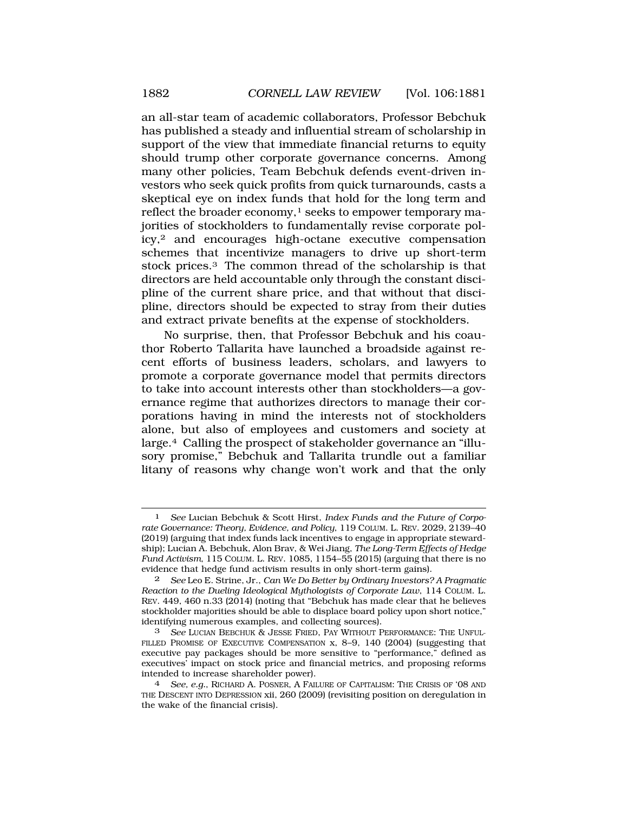an all-star team of academic collaborators, Professor Bebchuk has published a steady and influential stream of scholarship in support of the view that immediate financial returns to equity should trump other corporate governance concerns. Among many other policies, Team Bebchuk defends event-driven investors who seek quick profits from quick turnarounds, casts a skeptical eye on index funds that hold for the long term and reflect the broader economy, $<sup>1</sup>$  seeks to empower temporary ma-</sup> jorities of stockholders to fundamentally revise corporate policy,2 and encourages high-octane executive compensation schemes that incentivize managers to drive up short-term stock prices.3 The common thread of the scholarship is that directors are held accountable only through the constant discipline of the current share price, and that without that discipline, directors should be expected to stray from their duties and extract private benefits at the expense of stockholders.

No surprise, then, that Professor Bebchuk and his coauthor Roberto Tallarita have launched a broadside against recent efforts of business leaders, scholars, and lawyers to promote a corporate governance model that permits directors to take into account interests other than stockholders—a governance regime that authorizes directors to manage their corporations having in mind the interests not of stockholders alone, but also of employees and customers and society at large.4 Calling the prospect of stakeholder governance an "illusory promise," Bebchuk and Tallarita trundle out a familiar litany of reasons why change won't work and that the only

<sup>1</sup> *See* Lucian Bebchuk & Scott Hirst, *Index Funds and the Future of Corporate Governance: Theory, Evidence, and Policy*, 119 COLUM. L. REV. 2029, 2139–40 (2019) (arguing that index funds lack incentives to engage in appropriate stewardship); Lucian A. Bebchuk, Alon Brav, & Wei Jiang, *The Long-Term Effects of Hedge Fund Activism*, 115 COLUM. L. REV. 1085, 1154–55 (2015) (arguing that there is no evidence that hedge fund activism results in only short-term gains).

<sup>2</sup> *See* Leo E. Strine, Jr., *Can We Do Better by Ordinary Investors? A Pragmatic Reaction to the Dueling Ideological Mythologists of Corporate Law*, 114 COLUM. L. REV. 449, 460 n.33 (2014) (noting that "Bebchuk has made clear that he believes stockholder majorities should be able to displace board policy upon short notice," identifying numerous examples, and collecting sources).

<sup>3</sup> *See* LUCIAN BEBCHUK & JESSE FRIED, PAY WITHOUT PERFORMANCE: THE UNFUL-FILLED PROMISE OF EXECUTIVE COMPENSATION x, 8-9, 140 (2004) (suggesting that executive pay packages should be more sensitive to "performance," defined as executives' impact on stock price and financial metrics, and proposing reforms intended to increase shareholder power).

See, e.g., RICHARD A. POSNER, A FAILURE OF CAPITALISM: THE CRISIS OF '08 AND THE DESCENT INTO DEPRESSION xii, 260 (2009) (revisiting position on deregulation in the wake of the financial crisis).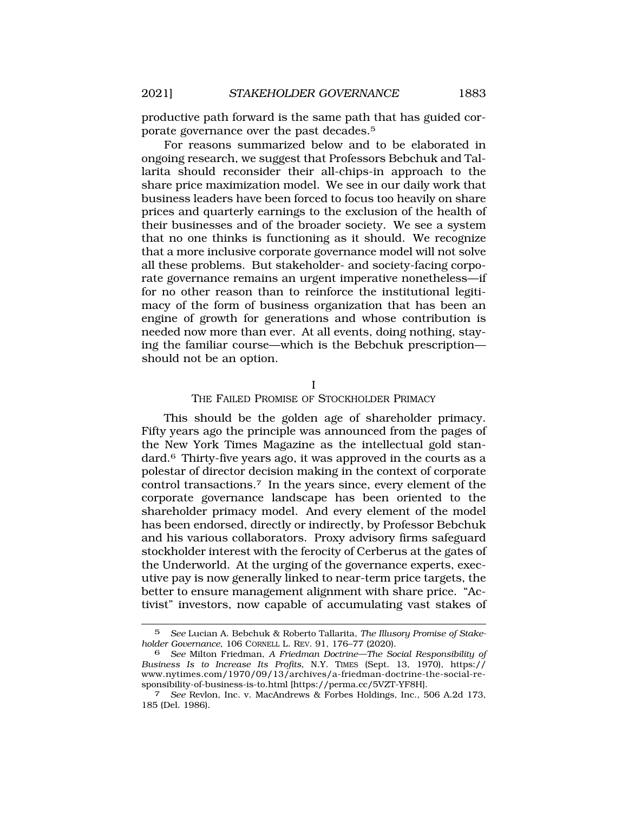productive path forward is the same path that has guided corporate governance over the past decades.5

For reasons summarized below and to be elaborated in ongoing research, we suggest that Professors Bebchuk and Tallarita should reconsider their all-chips-in approach to the share price maximization model. We see in our daily work that business leaders have been forced to focus too heavily on share prices and quarterly earnings to the exclusion of the health of their businesses and of the broader society. We see a system that no one thinks is functioning as it should. We recognize that a more inclusive corporate governance model will not solve all these problems. But stakeholder- and society-facing corporate governance remains an urgent imperative nonetheless—if for no other reason than to reinforce the institutional legitimacy of the form of business organization that has been an engine of growth for generations and whose contribution is needed now more than ever. At all events, doing nothing, staying the familiar course—which is the Bebchuk prescription should not be an option.

I

## THE FAILED PROMISE OF STOCKHOLDER PRIMACY

This should be the golden age of shareholder primacy. Fifty years ago the principle was announced from the pages of the New York Times Magazine as the intellectual gold standard.6 Thirty-five years ago, it was approved in the courts as a polestar of director decision making in the context of corporate control transactions.7 In the years since, every element of the corporate governance landscape has been oriented to the shareholder primacy model. And every element of the model has been endorsed, directly or indirectly, by Professor Bebchuk and his various collaborators. Proxy advisory firms safeguard stockholder interest with the ferocity of Cerberus at the gates of the Underworld. At the urging of the governance experts, executive pay is now generally linked to near-term price targets, the better to ensure management alignment with share price. "Activist" investors, now capable of accumulating vast stakes of

<sup>5</sup> *See* Lucian A. Bebchuk & Roberto Tallarita, *The Illusory Promise of Stakeholder Governance*, 106 CORNELL L. REV. 91, 176–77 (2020).

<sup>6</sup> *See* Milton Friedman, *A Friedman Doctrine—The Social Responsibility of Business Is to Increase Its Profits*, N.Y. TIMES (Sept. 13, 1970), https:// <www.nytimes.com/1970/09/13/archives/a-friedman-doctrine-the-social-re>sponsibility-of-business-is-to.html [[https://perma.cc/5VZT-YF8H\]](https://perma.cc/5VZT-YF8H). 7 *See* Revlon, Inc. v. MacAndrews & Forbes Holdings, Inc., 506 A.2d 173,

<sup>185 (</sup>Del. 1986).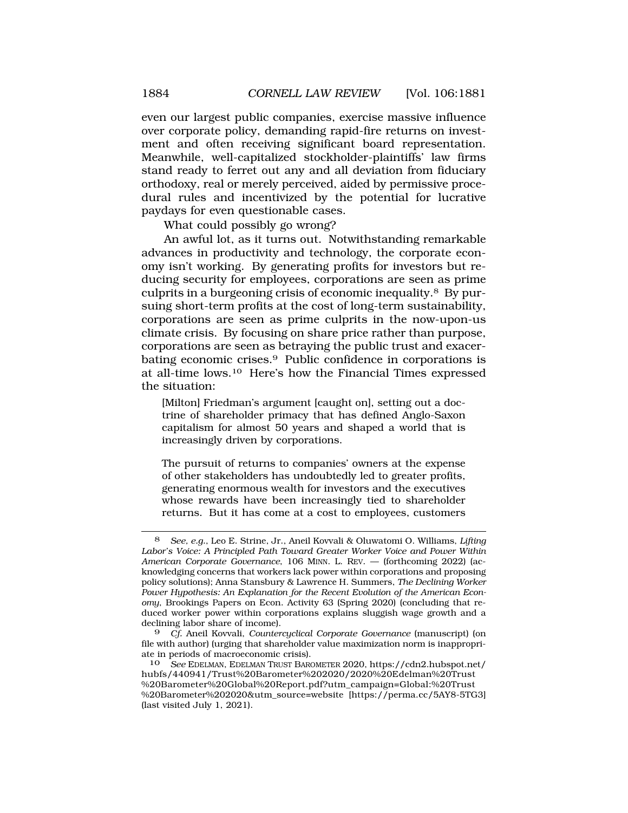even our largest public companies, exercise massive influence over corporate policy, demanding rapid-fire returns on investment and often receiving significant board representation. Meanwhile, well-capitalized stockholder-plaintiffs' law firms stand ready to ferret out any and all deviation from fiduciary orthodoxy, real or merely perceived, aided by permissive procedural rules and incentivized by the potential for lucrative paydays for even questionable cases.

What could possibly go wrong?

An awful lot, as it turns out. Notwithstanding remarkable advances in productivity and technology, the corporate economy isn't working. By generating profits for investors but reducing security for employees, corporations are seen as prime culprits in a burgeoning crisis of economic inequality.8 By pursuing short-term profits at the cost of long-term sustainability, corporations are seen as prime culprits in the now-upon-us climate crisis. By focusing on share price rather than purpose, corporations are seen as betraying the public trust and exacerbating economic crises.9 Public confidence in corporations is at all-time lows.10 Here's how the Financial Times expressed the situation:

[Milton] Friedman's argument [caught on], setting out a doctrine of shareholder primacy that has defined Anglo-Saxon capitalism for almost 50 years and shaped a world that is increasingly driven by corporations.

The pursuit of returns to companies' owners at the expense of other stakeholders has undoubtedly led to greater profits, generating enormous wealth for investors and the executives whose rewards have been increasingly tied to shareholder returns. But it has come at a cost to employees, customers

<sup>8</sup> *See, e.g.*, Leo E. Strine, Jr., Aneil Kovvali & Oluwatomi O. Williams, *Lifting Labor's Voice: A Principled Path Toward Greater Worker Voice and Power Within American Corporate Governance*, 106 MINN. L. REV. — (forthcoming 2022) (acknowledging concerns that workers lack power within corporations and proposing policy solutions); Anna Stansbury & Lawrence H. Summers, *The Declining Worker Power Hypothesis: An Explanation for the Recent Evolution of the American Economy*, Brookings Papers on Econ. Activity 63 (Spring 2020) (concluding that reduced worker power within corporations explains sluggish wage growth and a declining labor share of income).

<sup>9</sup> *Cf.* Aneil Kovvali, *Countercyclical Corporate Governance* (manuscript) (on file with author) (urging that shareholder value maximization norm is inappropriate in periods of macroeconomic crisis).

<sup>10</sup> *See* EDELMAN, EDELMAN TRUST BAROMETER 2020, [https://cdn2.hubspot.net/](https://cdn2.hubspot.net) hubfs/440941/Trust%20Barometer%202020/2020%20Edelman%20Trust %20Barometer%20Global%20Report.pdf?utm\_campaign=Global:%20Trust %20Barometer%202020&utm\_source=website [<https://perma.cc/5AY8-5TG3>] (last visited July 1, 2021).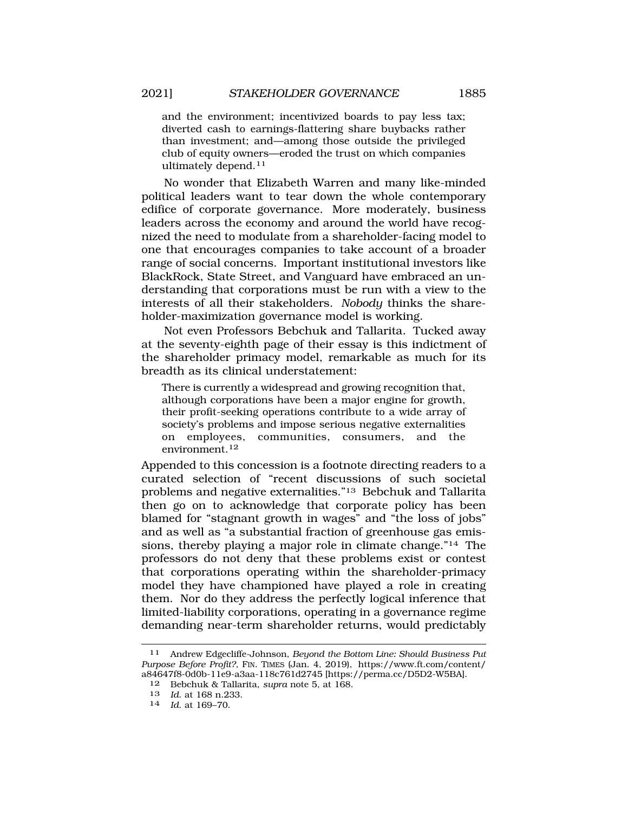and the environment; incentivized boards to pay less tax; diverted cash to earnings-flattering share buybacks rather than investment; and—among those outside the privileged club of equity owners—eroded the trust on which companies ultimately [depend.11](https://depend.11)

No wonder that Elizabeth Warren and many like-minded political leaders want to tear down the whole contemporary edifice of corporate governance. More moderately, business leaders across the economy and around the world have recognized the need to modulate from a shareholder-facing model to one that encourages companies to take account of a broader range of social concerns. Important institutional investors like BlackRock, State Street, and Vanguard have embraced an understanding that corporations must be run with a view to the interests of all their stakeholders. *Nobody* thinks the shareholder-maximization governance model is working.

Not even Professors Bebchuk and Tallarita. Tucked away at the seventy-eighth page of their essay is this indictment of the shareholder primacy model, remarkable as much for its breadth as its clinical understatement:

There is currently a widespread and growing recognition that, although corporations have been a major engine for growth, their profit-seeking operations contribute to a wide array of society's problems and impose serious negative externalities on employees, communities, consumers, and the [environment.](https://environment.12)<sup>12</sup>

Appended to this concession is a footnote directing readers to a curated selection of "recent discussions of such societal problems and negative externalities."13 Bebchuk and Tallarita then go on to acknowledge that corporate policy has been blamed for "stagnant growth in wages" and "the loss of jobs" and as well as "a substantial fraction of greenhouse gas emissions, thereby playing a major role in climate change."14 The professors do not deny that these problems exist or contest that corporations operating within the shareholder-primacy model they have championed have played a role in creating them. Nor do they address the perfectly logical inference that limited-liability corporations, operating in a governance regime demanding near-term shareholder returns, would predictably

<sup>11</sup> Andrew Edgecliffe-Johnson, *Beyond the Bottom Line: Should Business Put Purpose Before Profit?,* FIN. TIMES (Jan. 4, 2019), [https://www.ft.com/content/](https://www.ft.com/content) a84647f8-0d0b-11e9-a3aa-118c761d2745 [<https://perma.cc/D5D2-W5BA>].

<sup>12</sup> Bebchuk & Tallarita, *supra* note 5, at 168.

<sup>13</sup>*Id*. at 168 n.233. 14 *Id*. at 169–70.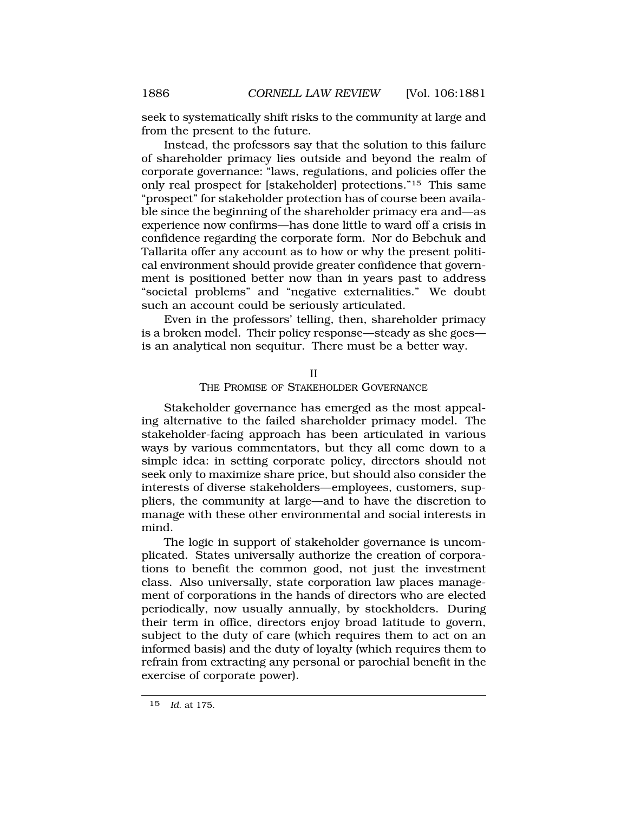seek to systematically shift risks to the community at large and from the present to the future.

Instead, the professors say that the solution to this failure of shareholder primacy lies outside and beyond the realm of corporate governance: "laws, regulations, and policies offer the only real prospect for [stakeholder] protections."15 This same "prospect" for stakeholder protection has of course been available since the beginning of the shareholder primacy era and—as experience now confirms—has done little to ward off a crisis in confidence regarding the corporate form. Nor do Bebchuk and Tallarita offer any account as to how or why the present political environment should provide greater confidence that government is positioned better now than in years past to address "societal problems" and "negative externalities." We doubt such an account could be seriously articulated.

Even in the professors' telling, then, shareholder primacy is a broken model. Their policy response—steady as she goes is an analytical non sequitur. There must be a better way.

II

THE PROMISE OF STAKEHOLDER GOVERNANCE

Stakeholder governance has emerged as the most appealing alternative to the failed shareholder primacy model. The stakeholder-facing approach has been articulated in various ways by various commentators, but they all come down to a simple idea: in setting corporate policy, directors should not seek only to maximize share price, but should also consider the interests of diverse stakeholders—employees, customers, suppliers, the community at large—and to have the discretion to manage with these other environmental and social interests in mind.

The logic in support of stakeholder governance is uncomplicated. States universally authorize the creation of corporations to benefit the common good, not just the investment class. Also universally, state corporation law places management of corporations in the hands of directors who are elected periodically, now usually annually, by stockholders. During their term in office, directors enjoy broad latitude to govern, subject to the duty of care (which requires them to act on an informed basis) and the duty of loyalty (which requires them to refrain from extracting any personal or parochial benefit in the exercise of corporate power).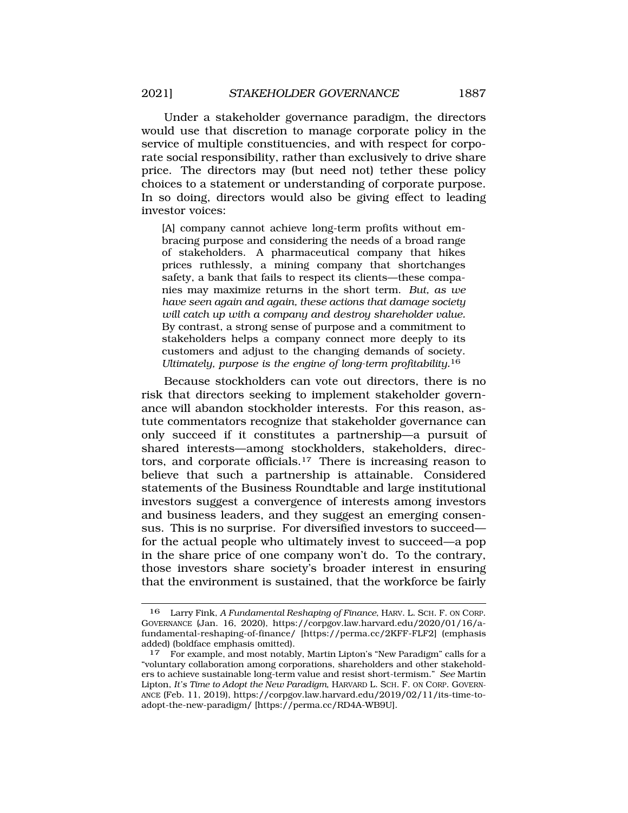Under a stakeholder governance paradigm, the directors would use that discretion to manage corporate policy in the service of multiple constituencies, and with respect for corporate social responsibility, rather than exclusively to drive share price. The directors may (but need not) tether these policy choices to a statement or understanding of corporate purpose. In so doing, directors would also be giving effect to leading investor voices:

[A] company cannot achieve long-term profits without embracing purpose and considering the needs of a broad range of stakeholders. A pharmaceutical company that hikes prices ruthlessly, a mining company that shortchanges safety, a bank that fails to respect its clients—these companies may maximize returns in the short term. *But, as we have seen again and again, these actions that damage society will catch up with a company and destroy shareholder value.*  By contrast, a strong sense of purpose and a commitment to stakeholders helps a company connect more deeply to its customers and adjust to the changing demands of society. *Ultimately, purpose is the engine of long-term [profitability.](https://profitability.16)*16

Because stockholders can vote out directors, there is no risk that directors seeking to implement stakeholder governance will abandon stockholder interests. For this reason, astute commentators recognize that stakeholder governance can only succeed if it constitutes a partnership—a pursuit of shared interests—among stockholders, stakeholders, directors, and corporate [officials.17](https://officials.17) There is increasing reason to believe that such a partnership is attainable. Considered statements of the Business Roundtable and large institutional investors suggest a convergence of interests among investors and business leaders, and they suggest an emerging consensus. This is no surprise. For diversified investors to succeed for the actual people who ultimately invest to succeed—a pop in the share price of one company won't do. To the contrary, those investors share society's broader interest in ensuring that the environment is sustained, that the workforce be fairly

<sup>16</sup> Larry Fink, *A Fundamental Reshaping of Finance*, HARV. L. SCH. F. ON CORP. GOVERNANCE (Jan. 16, 2020), <https://corpgov.law.harvard.edu/2020/01/16/a>fundamental-reshaping-of-finance/ [\[https://perma.cc/2KFF-FLF2](https://perma.cc/2KFF-FLF2)] (emphasis added) (boldface emphasis omitted).<br><sup>17</sup> For example, and most notable

<sup>17</sup> For example, and most notably, Martin Lipton's "New Paradigm" calls for a "voluntary collaboration among corporations, shareholders and other stakeholders to achieve sustainable long-term value and resist short-termism." *See* Martin Lipton, *It's Time to Adopt the New Paradigm*, HARVARD L. SCH. F. ON CORP. GOVERN-ANCE (Feb. 11, 2019), <https://corpgov.law.harvard.edu/2019/02/11/its-time-to>adopt-the-new-paradigm/ [\[https://perma.cc/RD4A-WB9U\]](https://perma.cc/RD4A-WB9U).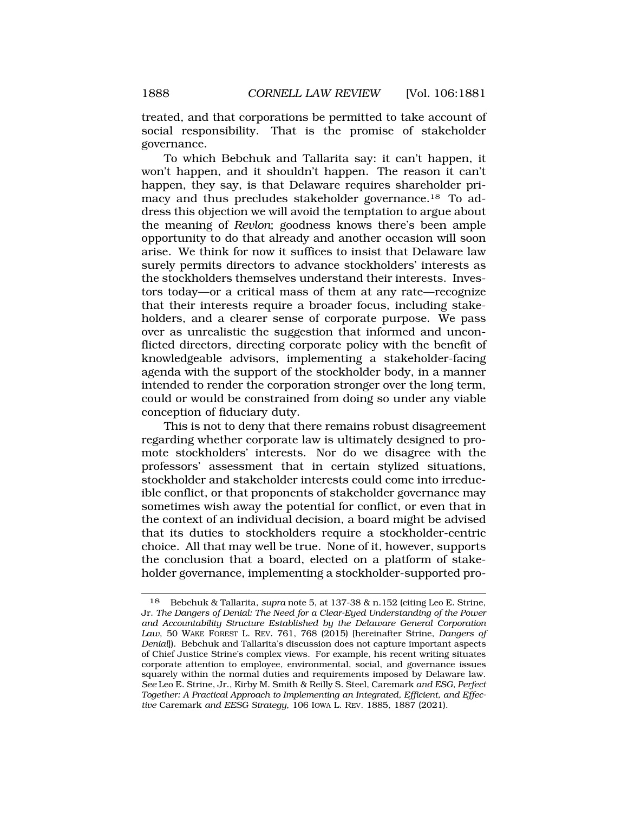treated, and that corporations be permitted to take account of social responsibility. That is the promise of stakeholder governance.

To which Bebchuk and Tallarita say: it can't happen, it won't happen, and it shouldn't happen. The reason it can't happen, they say, is that Delaware requires shareholder primacy and thus precludes stakeholder [governance.18](https://governance.18) To address this objection we will avoid the temptation to argue about the meaning of *Revlon*; goodness knows there's been ample opportunity to do that already and another occasion will soon arise. We think for now it suffices to insist that Delaware law surely permits directors to advance stockholders' interests as the stockholders themselves understand their interests. Investors today—or a critical mass of them at any rate—recognize that their interests require a broader focus, including stakeholders, and a clearer sense of corporate purpose. We pass over as unrealistic the suggestion that informed and unconflicted directors, directing corporate policy with the benefit of knowledgeable advisors, implementing a stakeholder-facing agenda with the support of the stockholder body, in a manner intended to render the corporation stronger over the long term, could or would be constrained from doing so under any viable conception of fiduciary duty.

This is not to deny that there remains robust disagreement regarding whether corporate law is ultimately designed to promote stockholders' interests. Nor do we disagree with the professors' assessment that in certain stylized situations, stockholder and stakeholder interests could come into irreducible conflict, or that proponents of stakeholder governance may sometimes wish away the potential for conflict, or even that in the context of an individual decision, a board might be advised that its duties to stockholders require a stockholder-centric choice. All that may well be true. None of it, however, supports the conclusion that a board, elected on a platform of stakeholder governance, implementing a stockholder-supported pro-

<sup>18</sup> Bebchuk & Tallarita, *supra* note 5, at 137-38 & n.152 (citing Leo E. Strine, Jr. *The Dangers of Denial: The Need for a Clear-Eyed Understanding of the Power and Accountability Structure Established by the Delaware General Corporation Law*, 50 WAKE FOREST L. REV. 761, 768 (2015) [hereinafter Strine, *Dangers of Denial*]). Bebchuk and Tallarita's discussion does not capture important aspects of Chief Justice Strine's complex views. For example, his recent writing situates corporate attention to employee, environmental, social, and governance issues squarely within the normal duties and requirements imposed by Delaware law. *See* Leo E. Strine, Jr., Kirby M. Smith & Reilly S. Steel, Caremark *and ESG, Perfect Together: A Practical Approach to Implementing an Integrated, Efficient, and Effective* Caremark *and EESG Strategy*, 106 IOWA L. REV. 1885, 1887 (2021).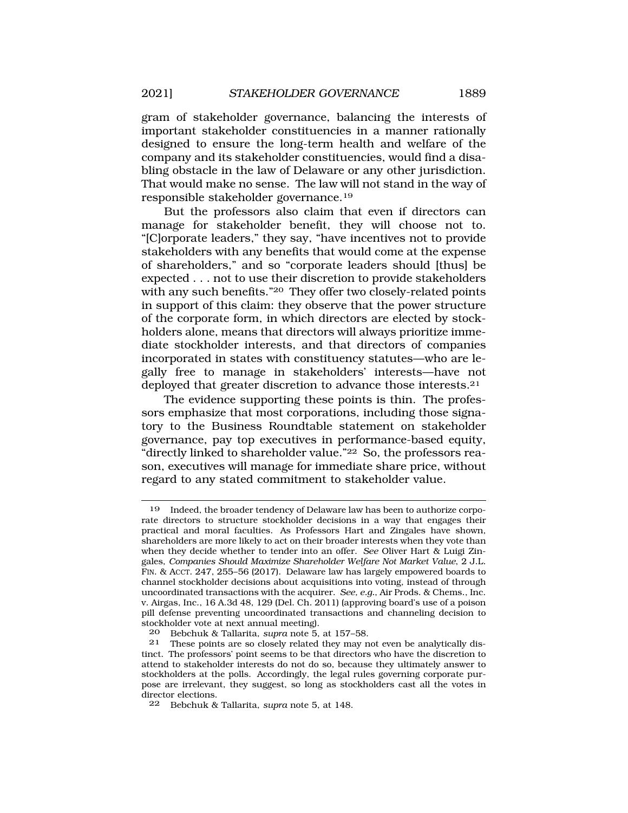gram of stakeholder governance, balancing the interests of important stakeholder constituencies in a manner rationally designed to ensure the long-term health and welfare of the company and its stakeholder constituencies, would find a disabling obstacle in the law of Delaware or any other jurisdiction. That would make no sense. The law will not stand in the way of responsible stakeholder [governance.19](https://governance.19)

But the professors also claim that even if directors can manage for stakeholder benefit, they will choose not to. "[C]orporate leaders," they say, "have incentives not to provide stakeholders with any benefits that would come at the expense of shareholders," and so "corporate leaders should [thus] be expected . . . not to use their discretion to provide stakeholders with any such benefits."20 They offer two closely-related points in support of this claim: they observe that the power structure of the corporate form, in which directors are elected by stockholders alone, means that directors will always prioritize immediate stockholder interests, and that directors of companies incorporated in states with constituency statutes—who are legally free to manage in stakeholders' interests—have not deployed that greater discretion to advance those [interests.21](https://interests.21)

The evidence supporting these points is thin. The professors emphasize that most corporations, including those signatory to the Business Roundtable statement on stakeholder governance, pay top executives in performance-based equity, "directly linked to shareholder value."22 So, the professors reason, executives will manage for immediate share price, without regard to any stated commitment to stakeholder value.

<sup>19</sup> Indeed, the broader tendency of Delaware law has been to authorize corporate directors to structure stockholder decisions in a way that engages their practical and moral faculties. As Professors Hart and Zingales have shown, shareholders are more likely to act on their broader interests when they vote than when they decide whether to tender into an offer. *See* Oliver Hart & Luigi Zingales, *Companies Should Maximize Shareholder Welfare Not Market Value*, 2 J.L. FIN. & ACCT. 247, 255–56 (2017). Delaware law has largely empowered boards to channel stockholder decisions about acquisitions into voting, instead of through uncoordinated transactions with the acquirer. *See, e.g.*, Air Prods. & Chems., Inc. v. Airgas, Inc., 16 A.3d 48, 129 (Del. Ch. 2011) (approving board's use of a poison pill defense preventing uncoordinated transactions and channeling decision to stockholder vote at next annual meeting).<br>20 Bebchuk & Tallarita sunra note 5

<sup>20</sup> Bebchuk & Tallarita, *supra* note 5, at 157–58.

These points are so closely related they may not even be analytically distinct. The professors' point seems to be that directors who have the discretion to attend to stakeholder interests do not do so, because they ultimately answer to stockholders at the polls. Accordingly, the legal rules governing corporate purpose are irrelevant, they suggest, so long as stockholders cast all the votes in director elections.

<sup>22</sup> Bebchuk & Tallarita, *supra* note 5, at 148.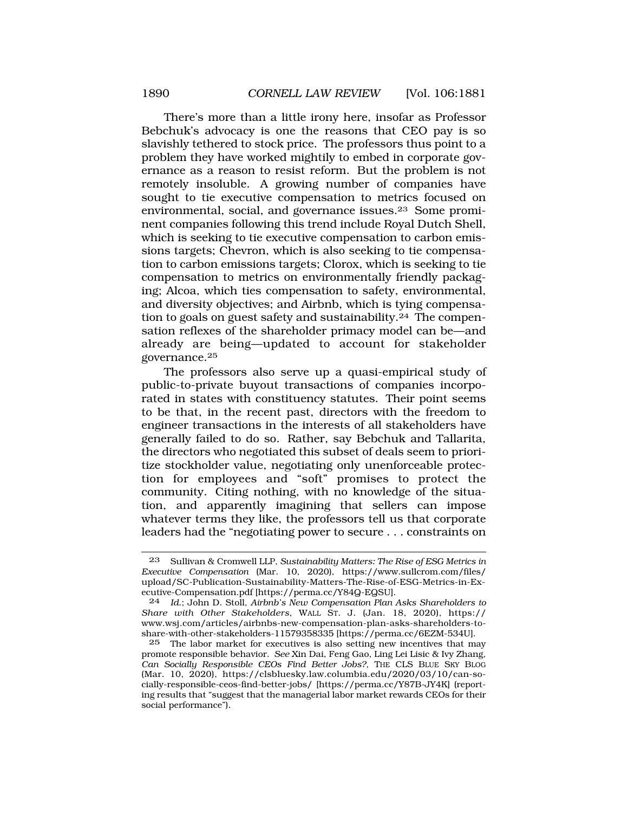There's more than a little irony here, insofar as Professor Bebchuk's advocacy is one the reasons that CEO pay is so slavishly tethered to stock price. The professors thus point to a problem they have worked mightily to embed in corporate governance as a reason to resist reform. But the problem is not remotely insoluble. A growing number of companies have sought to tie executive compensation to metrics focused on environmental, social, and governance [issues.23](https://issues.23) Some prominent companies following this trend include Royal Dutch Shell, which is seeking to tie executive compensation to carbon emissions targets; Chevron, which is also seeking to tie compensation to carbon emissions targets; Clorox, which is seeking to tie compensation to metrics on environmentally friendly packaging; Alcoa, which ties compensation to safety, environmental, and diversity objectives; and Airbnb, which is tying compensation to goals on guest safety and [sustainability.24](https://sustainability.24) The compensation reflexes of the shareholder primacy model can be—and already are being—updated to account for stakeholder [governance.25](https://governance.25)

The professors also serve up a quasi-empirical study of public-to-private buyout transactions of companies incorporated in states with constituency statutes. Their point seems to be that, in the recent past, directors with the freedom to engineer transactions in the interests of all stakeholders have generally failed to do so. Rather, say Bebchuk and Tallarita, the directors who negotiated this subset of deals seem to prioritize stockholder value, negotiating only unenforceable protection for employees and "soft" promises to protect the community. Citing nothing, with no knowledge of the situation, and apparently imagining that sellers can impose whatever terms they like, the professors tell us that corporate leaders had the "negotiating power to secure . . . constraints on

<sup>23</sup> Sullivan & Cromwell LLP, *Sustainability Matters: The Rise of ESG Metrics in Executive Compensation* (Mar. 10, 2020), [https://www.sullcrom.com/files/](https://www.sullcrom.com/files) upload/SC-Publication-Sustainability-Matters-The-Rise-of-ESG-Metrics-in-Executive-Compensation.pdf [<https://perma.cc/Y84Q-EQSU>].

<sup>24</sup> *Id*.; John D. Stoll, *Airbnb's New Compensation Plan Asks Shareholders to Share with Other Stakeholders*, WALL ST. J. (Jan. 18, 2020), https:// <www.wsj.com/articles/airbnbs-new-compensation-plan-asks-shareholders-to>share-with-other-stakeholders-11579358335 [[https://perma.cc/6EZM-534U\]](https://perma.cc/6EZM-534U).

<sup>25</sup> The labor market for executives is also setting new incentives that may promote responsible behavior. *See* Xin Dai, Feng Gao, Ling Lei Lisic & Ivy Zhang, *Can Socially Responsible CEOs Find Better Jobs?*, THE CLS BLUE SKY BLOG (Mar. 10, 2020), <https://clsbluesky.law.columbia.edu/2020/03/10/can-so>cially-responsible-ceos-find-better-jobs/ [\[https://perma.cc/Y87B-JY4K](https://perma.cc/Y87B-JY4K)] (reporting results that "suggest that the managerial labor market rewards CEOs for their social performance").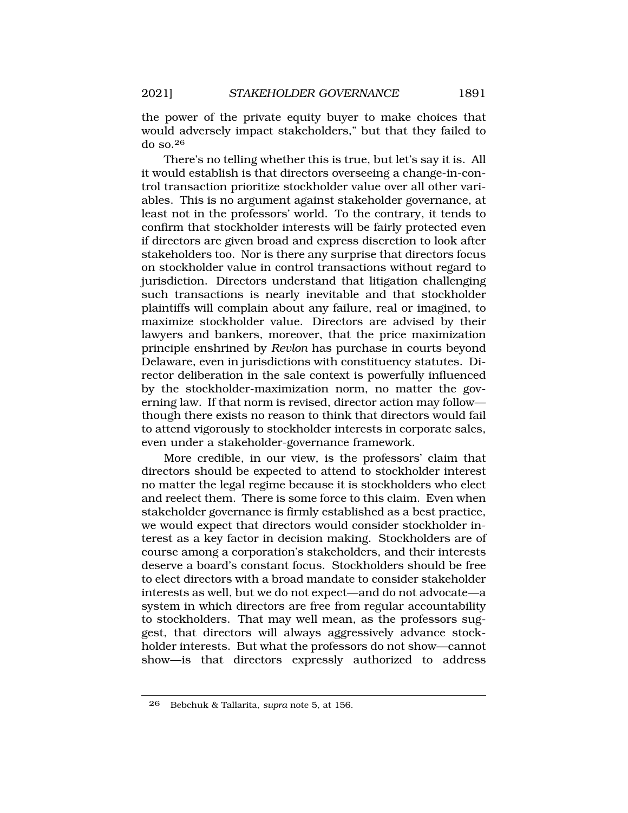the power of the private equity buyer to make choices that would adversely impact stakeholders," but that they failed to do so.26

There's no telling whether this is true, but let's say it is. All it would establish is that directors overseeing a change-in-control transaction prioritize stockholder value over all other variables. This is no argument against stakeholder governance, at least not in the professors' world. To the contrary, it tends to confirm that stockholder interests will be fairly protected even if directors are given broad and express discretion to look after stakeholders too. Nor is there any surprise that directors focus on stockholder value in control transactions without regard to jurisdiction. Directors understand that litigation challenging such transactions is nearly inevitable and that stockholder plaintiffs will complain about any failure, real or imagined, to maximize stockholder value. Directors are advised by their lawyers and bankers, moreover, that the price maximization principle enshrined by *Revlon* has purchase in courts beyond Delaware, even in jurisdictions with constituency statutes. Director deliberation in the sale context is powerfully influenced by the stockholder-maximization norm, no matter the governing law. If that norm is revised, director action may follow though there exists no reason to think that directors would fail to attend vigorously to stockholder interests in corporate sales, even under a stakeholder-governance framework.

More credible, in our view, is the professors' claim that directors should be expected to attend to stockholder interest no matter the legal regime because it is stockholders who elect and reelect them. There is some force to this claim. Even when stakeholder governance is firmly established as a best practice, we would expect that directors would consider stockholder interest as a key factor in decision making. Stockholders are of course among a corporation's stakeholders, and their interests deserve a board's constant focus. Stockholders should be free to elect directors with a broad mandate to consider stakeholder interests as well, but we do not expect—and do not advocate—a system in which directors are free from regular accountability to stockholders. That may well mean, as the professors suggest, that directors will always aggressively advance stockholder interests. But what the professors do not show—cannot show—is that directors expressly authorized to address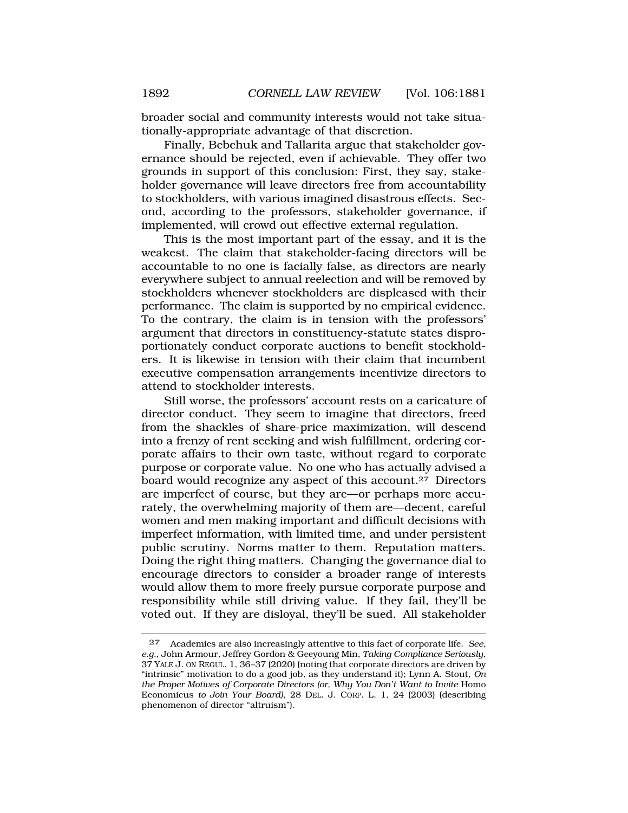broader social and community interests would not take situationally-appropriate advantage of that discretion.

Finally, Bebchuk and Tallarita argue that stakeholder governance should be rejected, even if achievable. They offer two grounds in support of this conclusion: First, they say, stakeholder governance will leave directors free from accountability to stockholders, with various imagined disastrous effects. Second, according to the professors, stakeholder governance, if implemented, will crowd out effective external regulation.

This is the most important part of the essay, and it is the weakest. The claim that stakeholder-facing directors will be accountable to no one is facially false, as directors are nearly everywhere subject to annual reelection and will be removed by stockholders whenever stockholders are displeased with their performance. The claim is supported by no empirical evidence. To the contrary, the claim is in tension with the professors' argument that directors in constituency-statute states disproportionately conduct corporate auctions to benefit stockholders. It is likewise in tension with their claim that incumbent executive compensation arrangements incentivize directors to attend to stockholder interests.

Still worse, the professors' account rests on a caricature of director conduct. They seem to imagine that directors, freed from the shackles of share-price maximization, will descend into a frenzy of rent seeking and wish fulfillment, ordering corporate affairs to their own taste, without regard to corporate purpose or corporate value. No one who has actually advised a board would recognize any aspect of this account.<sup>27</sup> Directors are imperfect of course, but they are—or perhaps more accurately, the overwhelming majority of them are—decent, careful women and men making important and difficult decisions with imperfect information, with limited time, and under persistent public scrutiny. Norms matter to them. Reputation matters. Doing the right thing matters. Changing the governance dial to encourage directors to consider a broader range of interests would allow them to more freely pursue corporate purpose and responsibility while still driving value. If they fail, they'll be voted out. If they are disloyal, they'll be sued. All stakeholder

<sup>27</sup> Academics are also increasingly attentive to this fact of corporate life. *See, e.g.*, John Armour, Jeffrey Gordon & Geeyoung Min, *Taking Compliance Seriously*, 37 YALE J. ON REGUL. 1, 36–37 (2020) (noting that corporate directors are driven by "intrinsic" motivation to do a good job, as they understand it); Lynn A. Stout, *On the Proper Motives of Corporate Directors (or, Why You Don't Want to Invite Homo* Economicus *to Join Your Board)*, 28 DEL. J. CORP. L. 1, 24 (2003) (describing phenomenon of director "altruism").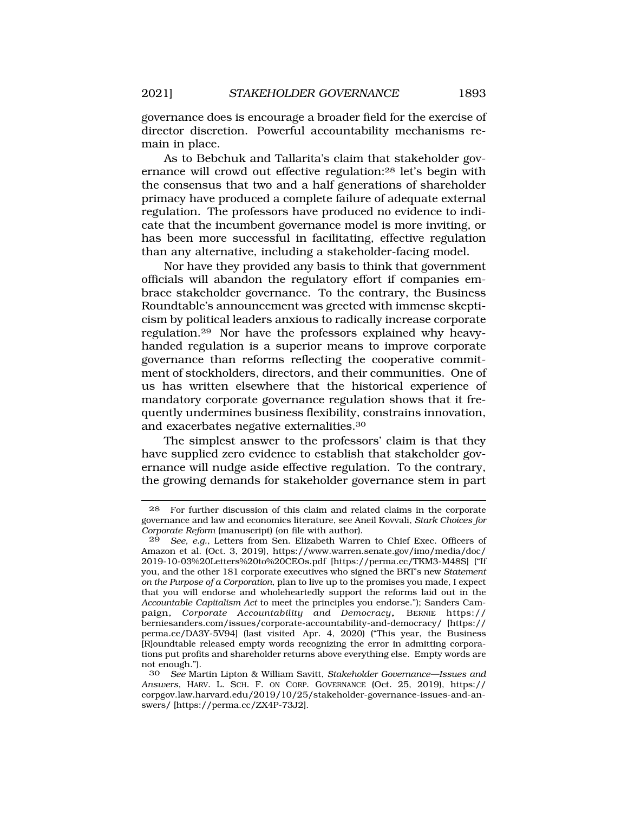governance does is encourage a broader field for the exercise of director discretion. Powerful accountability mechanisms remain in place.

As to Bebchuk and Tallarita's claim that stakeholder governance will crowd out effective regulation:28 let's begin with the consensus that two and a half generations of shareholder primacy have produced a complete failure of adequate external regulation. The professors have produced no evidence to indicate that the incumbent governance model is more inviting, or has been more successful in facilitating, effective regulation than any alternative, including a stakeholder-facing model.

Nor have they provided any basis to think that government officials will abandon the regulatory effort if companies embrace stakeholder governance. To the contrary, the Business Roundtable's announcement was greeted with immense skepticism by political leaders anxious to radically increase corporate [regulation.29](https://regulation.29) Nor have the professors explained why heavyhanded regulation is a superior means to improve corporate governance than reforms reflecting the cooperative commitment of stockholders, directors, and their communities. One of us has written elsewhere that the historical experience of mandatory corporate governance regulation shows that it frequently undermines business flexibility, constrains innovation, and exacerbates negative [externalities.30](https://externalities.30) 

The simplest answer to the professors' claim is that they have supplied zero evidence to establish that stakeholder governance will nudge aside effective regulation. To the contrary, the growing demands for stakeholder governance stem in part

<sup>28</sup> For further discussion of this claim and related claims in the corporate governance and law and economics literature, see Aneil Kovvali, *Stark Choices for Corporate Reform* (manuscript) (on file with author).

<sup>29</sup> *See, e.g.,* Letters from Sen. Elizabeth Warren to Chief Exec. Officers of Amazon et al. (Oct. 3, 2019), [https://www.warren.senate.gov/imo/media/doc/](https://www.warren.senate.gov/imo/media/doc) 2019-10-03%20Letters%20to%20CEOs.pdf [\[https://perma.cc/TKM3-M48S\]](https://perma.cc/TKM3-M48S) ("If you, and the other 181 corporate executives who signed the BRT's new *Statement on the Purpose of a Corporation*, plan to live up to the promises you made, I expect that you will endorse and wholeheartedly support the reforms laid out in the *Accountable Capitalism Act* to meet the principles you endorse."); Sanders Campaign, *Corporate Accountability and Democracy*, BERNIE https:// [berniesanders.com/issues/corporate-accountability-and-democracy](https://berniesanders.com/issues/corporate-accountability-and-democracy)/ [https:// perma.cc/DA3Y-5V94] (last visited Apr. 4, 2020) ("This year, the Business [R]oundtable released empty words recognizing the error in admitting corporations put profits and shareholder returns above everything else. Empty words are not enough.").

<sup>30</sup> *See* Martin Lipton & William Savitt, *Stakeholder Governance—Issues and Answers*, HARV. L. SCH. F. ON CORP. GOVERNANCE (Oct. 25, 2019), https:// [corpgov.law.harvard.edu/2019/10/25/stakeholder-governance-issues-and-an](https://corpgov.law.harvard.edu/2019/10/25/stakeholder-governance-issues-and-an)swers/ [<https://perma.cc/ZX4P-73J2>].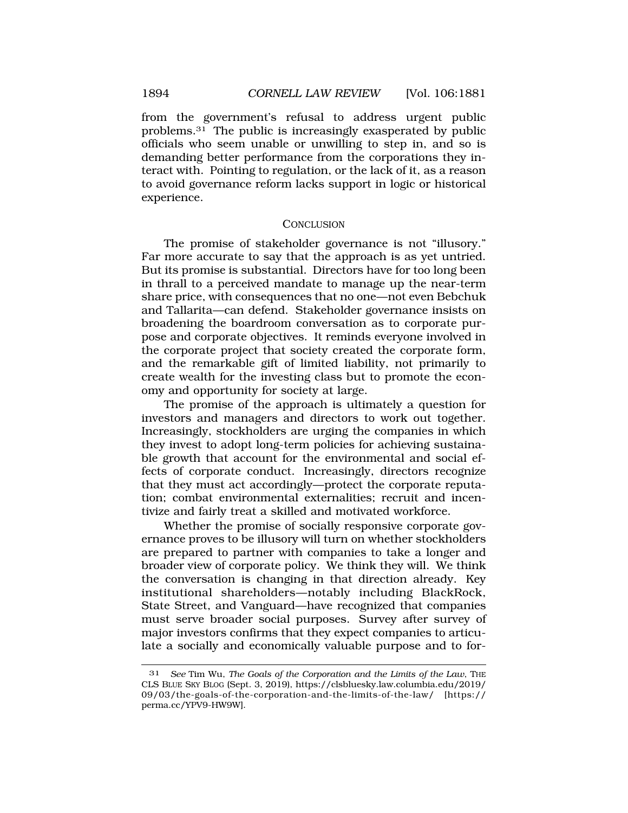from the government's refusal to address urgent public [problems.31](https://problems.31) The public is increasingly exasperated by public officials who seem unable or unwilling to step in, and so is demanding better performance from the corporations they interact with. Pointing to regulation, or the lack of it, as a reason to avoid governance reform lacks support in logic or historical experience.

### **CONCLUSION**

The promise of stakeholder governance is not "illusory." Far more accurate to say that the approach is as yet untried. But its promise is substantial. Directors have for too long been in thrall to a perceived mandate to manage up the near-term share price, with consequences that no one—not even Bebchuk and Tallarita—can defend. Stakeholder governance insists on broadening the boardroom conversation as to corporate purpose and corporate objectives. It reminds everyone involved in the corporate project that society created the corporate form, and the remarkable gift of limited liability, not primarily to create wealth for the investing class but to promote the economy and opportunity for society at large.

The promise of the approach is ultimately a question for investors and managers and directors to work out together. Increasingly, stockholders are urging the companies in which they invest to adopt long-term policies for achieving sustainable growth that account for the environmental and social effects of corporate conduct. Increasingly, directors recognize that they must act accordingly—protect the corporate reputation; combat environmental externalities; recruit and incentivize and fairly treat a skilled and motivated workforce.

Whether the promise of socially responsive corporate governance proves to be illusory will turn on whether stockholders are prepared to partner with companies to take a longer and broader view of corporate policy. We think they will. We think the conversation is changing in that direction already. Key institutional shareholders—notably including BlackRock, State Street, and Vanguard—have recognized that companies must serve broader social purposes. Survey after survey of major investors confirms that they expect companies to articulate a socially and economically valuable purpose and to for-

<sup>31</sup> *See* Tim Wu, *The Goals of the Corporation and the Limits of the Law*, THE CLS BLUE SKY BLOG (Sept. 3, 2019), [https://clsbluesky.law.columbia.edu/2019/](https://clsbluesky.law.columbia.edu/2019) 09/03/the-goals-of-the-corporation-and-the-limits-of-the-law/ [https:// perma.cc/YPV9-HW9W].